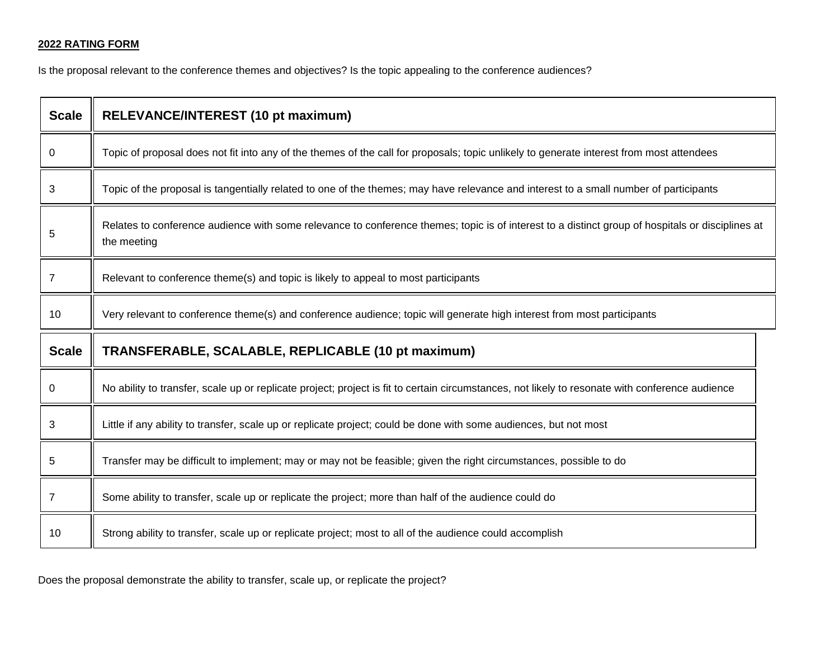## **2022 RATING FORM**

Is the proposal relevant to the conference themes and objectives? Is the topic appealing to the conference audiences?

| <b>Scale</b> | RELEVANCE/INTEREST (10 pt maximum)                                                                                                                              |  |
|--------------|-----------------------------------------------------------------------------------------------------------------------------------------------------------------|--|
| 0            | Topic of proposal does not fit into any of the themes of the call for proposals; topic unlikely to generate interest from most attendees                        |  |
| 3            | Topic of the proposal is tangentially related to one of the themes; may have relevance and interest to a small number of participants                           |  |
| 5            | Relates to conference audience with some relevance to conference themes; topic is of interest to a distinct group of hospitals or disciplines at<br>the meeting |  |
| 7            | Relevant to conference theme(s) and topic is likely to appeal to most participants                                                                              |  |
| 10           | Very relevant to conference theme(s) and conference audience; topic will generate high interest from most participants                                          |  |
| <b>Scale</b> | TRANSFERABLE, SCALABLE, REPLICABLE (10 pt maximum)                                                                                                              |  |
| 0            | No ability to transfer, scale up or replicate project; project is fit to certain circumstances, not likely to resonate with conference audience                 |  |
| 3            | Little if any ability to transfer, scale up or replicate project; could be done with some audiences, but not most                                               |  |
| 5            | Transfer may be difficult to implement; may or may not be feasible; given the right circumstances, possible to do                                               |  |
| 7            | Some ability to transfer, scale up or replicate the project; more than half of the audience could do                                                            |  |
| 10           | Strong ability to transfer, scale up or replicate project; most to all of the audience could accomplish                                                         |  |

Does the proposal demonstrate the ability to transfer, scale up, or replicate the project?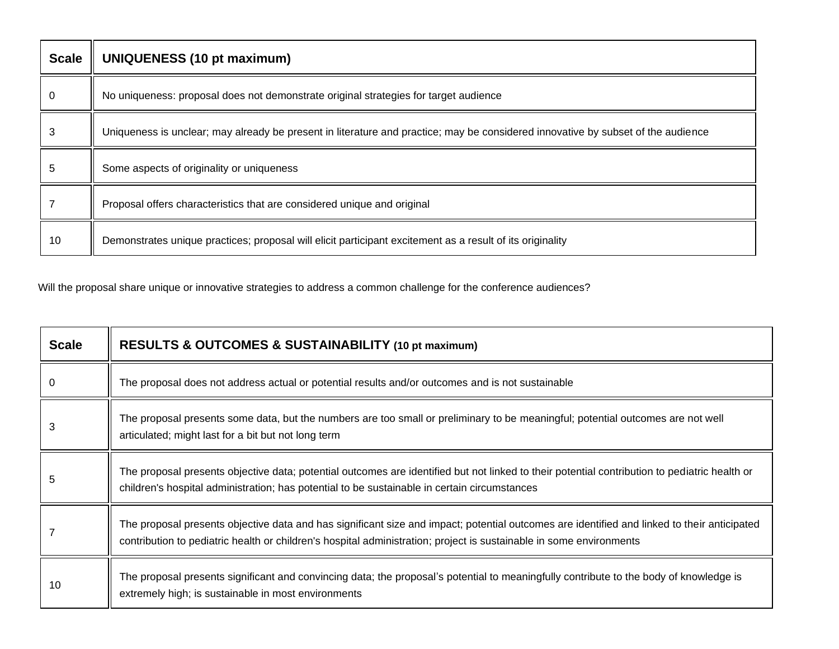| <b>Scale</b> | <b>UNIQUENESS (10 pt maximum)</b>                                                                                                |
|--------------|----------------------------------------------------------------------------------------------------------------------------------|
| 0            | No uniqueness: proposal does not demonstrate original strategies for target audience                                             |
| 3            | Uniqueness is unclear; may already be present in literature and practice; may be considered innovative by subset of the audience |
| 5            | Some aspects of originality or uniqueness                                                                                        |
|              | Proposal offers characteristics that are considered unique and original                                                          |
| 10           | Demonstrates unique practices; proposal will elicit participant excitement as a result of its originality                        |

Will the proposal share unique or innovative strategies to address a common challenge for the conference audiences?

| <b>Scale</b> | <b>RESULTS &amp; OUTCOMES &amp; SUSTAINABILITY (10 pt maximum)</b>                                                                                                                                                                                                 |
|--------------|--------------------------------------------------------------------------------------------------------------------------------------------------------------------------------------------------------------------------------------------------------------------|
|              | The proposal does not address actual or potential results and/or outcomes and is not sustainable                                                                                                                                                                   |
|              | The proposal presents some data, but the numbers are too small or preliminary to be meaningful; potential outcomes are not well<br>articulated; might last for a bit but not long term                                                                             |
| 5            | The proposal presents objective data; potential outcomes are identified but not linked to their potential contribution to pediatric health or<br>children's hospital administration; has potential to be sustainable in certain circumstances                      |
|              | The proposal presents objective data and has significant size and impact; potential outcomes are identified and linked to their anticipated<br>contribution to pediatric health or children's hospital administration; project is sustainable in some environments |
| 10           | The proposal presents significant and convincing data; the proposal's potential to meaningfully contribute to the body of knowledge is<br>extremely high; is sustainable in most environments                                                                      |